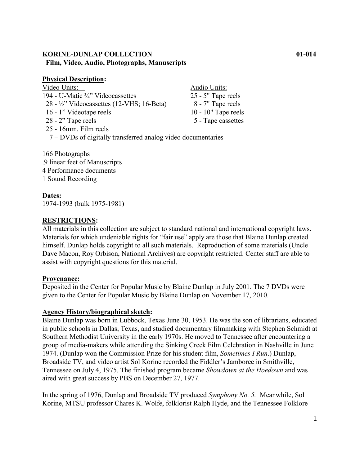# **KORINE-DUNLAP COLLECTION 01-014 Film, Video, Audio, Photographs, Manuscripts**

## **Physical Description:**

| Video Units:                                                 | Audio Units:           |
|--------------------------------------------------------------|------------------------|
| 194 - U-Matic 3/4" Videocassettes                            | 25 - 5" Tape reels     |
| 28 - ½" Videocassettes (12-VHS; 16-Beta)                     | 8 - 7" Tape reels      |
| 16 - 1" Videotape reels                                      | $10 - 10$ " Tape reels |
| 28 - 2" Tape reels                                           | 5 - Tape cassettes     |
| 25 - 16mm. Film reels                                        |                        |
| 7 – DVDs of digitally transferred analog video documentaries |                        |
|                                                              |                        |

166 Photographs .9 linear feet of Manuscripts 4 Performance documents 1 Sound Recording

# **Dates:**

1974-1993 (bulk 1975-1981)

# **RESTRICTIONS:**

All materials in this collection are subject to standard national and international copyright laws. Materials for which undeniable rights for "fair use" apply are those that Blaine Dunlap created himself. Dunlap holds copyright to all such materials. Reproduction of some materials (Uncle Dave Macon, Roy Orbison, National Archives) are copyright restricted. Center staff are able to assist with copyright questions for this material.

## **Provenance:**

Deposited in the Center for Popular Music by Blaine Dunlap in July 2001. The 7 DVDs were given to the Center for Popular Music by Blaine Dunlap on November 17, 2010.

## **Agency History/biographical sketch:**

Blaine Dunlap was born in Lubbock, Texas June 30, 1953. He was the son of librarians, educated in public schools in Dallas, Texas, and studied documentary filmmaking with Stephen Schmidt at Southern Methodist University in the early 1970s. He moved to Tennessee after encountering a group of media-makers while attending the Sinking Creek Film Celebration in Nashville in June 1974. (Dunlap won the Commission Prize for his student film, *Sometimes I Run*.) Dunlap, Broadside TV, and video artist Sol Korine recorded the Fiddler's Jamboree in Smithville, Tennessee on July 4, 1975. The finished program became *Showdown at the Hoedown* and was aired with great success by PBS on December 27, 1977.

In the spring of 1976, Dunlap and Broadside TV produced *Symphony No. 5.* Meanwhile, Sol Korine, MTSU professor Chares K. Wolfe, folklorist Ralph Hyde, and the Tennessee Folklore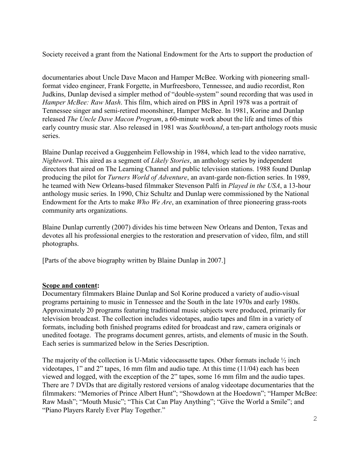Society received a grant from the National Endowment for the Arts to support the production of

documentaries about Uncle Dave Macon and Hamper McBee. Working with pioneering smallformat video engineer, Frank Forgette, in Murfreesboro, Tennessee, and audio recordist, Ron Judkins, Dunlap devised a simpler method of "double-system" sound recording that was used in *Hamper McBee: Raw Mash*. This film, which aired on PBS in April 1978 was a portrait of Tennessee singer and semi-retired moonshiner, Hamper McBee. In 1981, Korine and Dunlap released *The Uncle Dave Macon Program*, a 60-minute work about the life and times of this early country music star. Also released in 1981 was *Southbound*, a ten-part anthology roots music series.

Blaine Dunlap received a Guggenheim Fellowship in 1984, which lead to the video narrative, *Nightwork*. This aired as a segment of *Likely Stories*, an anthology series by independent directors that aired on The Learning Channel and public television stations. 1988 found Dunlap producing the pilot for *Turners World of Adventure*, an avant-garde non-fiction series. In 1989, he teamed with New Orleans-based filmmaker Stevenson Palfi in *Played in the USA*, a 13-hour anthology music series. In 1990, Chiz Schultz and Dunlap were commissioned by the National Endowment for the Arts to make *Who We Are*, an examination of three pioneering grass-roots community arts organizations.

Blaine Dunlap currently (2007) divides his time between New Orleans and Denton, Texas and devotes all his professional energies to the restoration and preservation of video, film, and still photographs.

[Parts of the above biography written by Blaine Dunlap in 2007.]

## **Scope and content:**

Documentary filmmakers Blaine Dunlap and Sol Korine produced a variety of audio-visual programs pertaining to music in Tennessee and the South in the late 1970s and early 1980s. Approximately 20 programs featuring traditional music subjects were produced, primarily for television broadcast. The collection includes videotapes, audio tapes and film in a variety of formats, including both finished programs edited for broadcast and raw, camera originals or unedited footage. The programs document genres, artists, and elements of music in the South. Each series is summarized below in the Series Description.

The majority of the collection is U-Matic videocassette tapes. Other formats include  $\frac{1}{2}$  inch videotapes, 1" and 2" tapes, 16 mm film and audio tape. At this time (11/04) each has been viewed and logged, with the exception of the 2" tapes, some 16 mm film and the audio tapes. There are 7 DVDs that are digitally restored versions of analog videotape documentaries that the filmmakers: "Memories of Prince Albert Hunt"; "Showdown at the Hoedown"; "Hamper McBee: Raw Mash"; "Mouth Music"; "This Cat Can Play Anything"; "Give the World a Smile"; and "Piano Players Rarely Ever Play Together."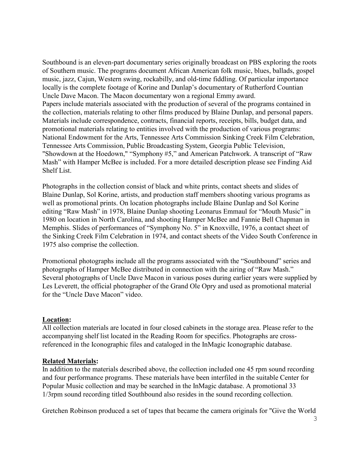Southbound is an eleven-part documentary series originally broadcast on PBS exploring the roots of Southern music. The programs document African American folk music, blues, ballads, gospel music, jazz, Cajun, Western swing, rockabilly, and old-time fiddling. Of particular importance locally is the complete footage of Korine and Dunlap's documentary of Rutherford Countian Uncle Dave Macon. The Macon documentary won a regional Emmy award. Papers include materials associated with the production of several of the programs contained in the collection, materials relating to other films produced by Blaine Dunlap, and personal papers. Materials include correspondence, contracts, financial reports, receipts, bills, budget data, and promotional materials relating to entities involved with the production of various programs: National Endowment for the Arts, Tennessee Arts Commission Sinking Creek Film Celebration, Tennessee Arts Commission, Public Broadcasting System, Georgia Public Television, "Showdown at the Hoedown," "Symphony #5," and American Patchwork. A transcript of "Raw Mash" with Hamper McBee is included. For a more detailed description please see Finding Aid Shelf List.

Photographs in the collection consist of black and white prints, contact sheets and slides of Blaine Dunlap, Sol Korine, artists, and production staff members shooting various programs as well as promotional prints. On location photographs include Blaine Dunlap and Sol Korine editing "Raw Mash" in 1978, Blaine Dunlap shooting Leonarus Emmaul for "Mouth Music" in 1980 on location in North Carolina, and shooting Hamper McBee and Fannie Bell Chapman in Memphis. Slides of performances of "Symphony No. 5" in Knoxville, 1976, a contact sheet of the Sinking Creek Film Celebration in 1974, and contact sheets of the Video South Conference in 1975 also comprise the collection.

Promotional photographs include all the programs associated with the "Southbound" series and photographs of Hamper McBee distributed in connection with the airing of "Raw Mash." Several photographs of Uncle Dave Macon in various poses during earlier years were supplied by Les Leverett, the official photographer of the Grand Ole Opry and used as promotional material for the "Uncle Dave Macon" video.

## **Location:**

All collection materials are located in four closed cabinets in the storage area. Please refer to the accompanying shelf list located in the Reading Room for specifics. Photographs are crossreferenced in the Iconographic files and cataloged in the InMagic Iconographic database.

## **Related Materials:**

In addition to the materials described above, the collection included one 45 rpm sound recording and four performance programs. These materials have been interfiled in the suitable Center for Popular Music collection and may be searched in the InMagic database. A promotional 33 1/3rpm sound recording titled Southbound also resides in the sound recording collection.

Gretchen Robinson produced a set of tapes that became the camera originals for "Give the World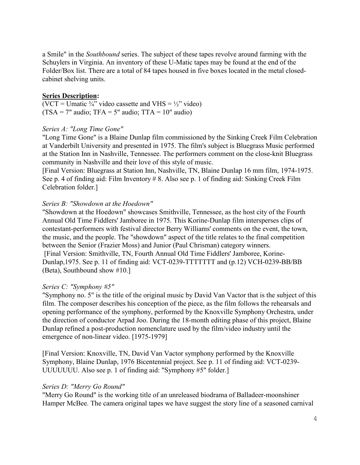a Smile" in the *Southbound* series. The subject of these tapes revolve around farming with the Schuylers in Virginia. An inventory of these U-Matic tapes may be found at the end of the Folder/Box list. There are a total of 84 tapes housed in five boxes located in the metal closedcabinet shelving units.

## **Series Description:**

(VCT = Umatic  $\frac{3}{4}$ " video cassette and VHS =  $\frac{1}{2}$ " video)  $(TSA = 7"$  audio;  $TFA = 5"$  audio;  $TTA = 10"$  audio)

## *Series A: "Long Time Gone"*

"Long Time Gone" is a Blaine Dunlap film commissioned by the Sinking Creek Film Celebration at Vanderbilt University and presented in 1975. The film's subject is Bluegrass Music performed at the Station Inn in Nashville, Tennessee. The performers comment on the close-knit Bluegrass community in Nashville and their love of this style of music.

[Final Version: Bluegrass at Station Inn, Nashville, TN, Blaine Dunlap 16 mm film, 1974-1975. See p. 4 of finding aid: Film Inventory # 8. Also see p. 1 of finding aid: Sinking Creek Film Celebration folder.]

## *Series B: "Showdown at the Hoedown"*

"Showdown at the Hoedown" showcases Smithville, Tennessee, as the host city of the Fourth Annual Old Time Fiddlers' Jamboree in 1975. This Korine-Dunlap film intersperses clips of contestant-performers with festival director Berry Williams' comments on the event, the town, the music, and the people. The "showdown" aspect of the title relates to the final competition between the Senior (Frazier Moss) and Junior (Paul Chrisman) category winners. [Final Version: Smithville, TN, Fourth Annual Old Time Fiddlers' Jamboree, Korine-Dunlap,1975. See p. 11 of finding aid: VCT-0239-TTTTTTT and (p.12) VCH-0239-BB/BB (Beta), Southbound show #10.]

## *Series C: "Symphony #5"*

"Symphony no. 5" is the title of the original music by David Van Vactor that is the subject of this film. The composer describes his conception of the piece, as the film follows the rehearsals and opening performance of the symphony, performed by the Knoxville Symphony Orchestra, under the direction of conductor Arpad Joo. During the 18-month editing phase of this project, Blaine Dunlap refined a post-production nomenclature used by the film/video industry until the emergence of non-linear video. [1975-1979]

[Final Version: Knoxville, TN, David Van Vactor symphony performed by the Knoxville Symphony, Blaine Dunlap, 1976 Bicentennial project. See p. 11 of finding aid: VCT-0239- UUUUUUU. Also see p. 1 of finding aid: "Symphony #5" folder.]

## *Series D: "Merry Go Round"*

"Merry Go Round" is the working title of an unreleased biodrama of Balladeer-moonshiner Hamper McBee. The camera original tapes we have suggest the story line of a seasoned carnival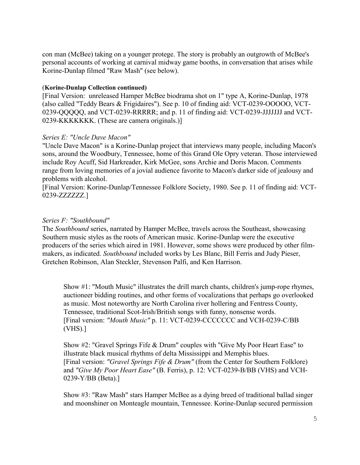con man (McBee) taking on a younger protege. The story is probably an outgrowth of McBee's personal accounts of working at carnival midway game booths, in conversation that arises while Korine-Dunlap filmed "Raw Mash" (see below).

### (**Korine-Dunlap Collection continued)**

[Final Version: unreleased Hamper McBee biodrama shot on 1" type A, Korine-Dunlap, 1978 (also called "Teddy Bears & Frigidaires"). See p. 10 of finding aid: VCT-0239-OOOOO, VCT-0239-QQQQQ, and VCT-0239-RRRRR; and p. 11 of finding aid: VCT-0239-JJJJJJJ and VCT-0239-KKKKKKK. (These are camera originals.)]

### *Series E: "Uncle Dave Macon"*

"Uncle Dave Macon" is a Korine-Dunlap project that interviews many people, including Macon's sons, around the Woodbury, Tennessee, home of this Grand Ole Opry veteran. Those interviewed include Roy Acuff, Sid Harkreader, Kirk McGee, sons Archie and Doris Macon. Comments range from loving memories of a jovial audience favorite to Macon's darker side of jealousy and problems with alcohol.

[Final Version: Korine-Dunlap/Tennessee Folklore Society, 1980. See p. 11 of finding aid: VCT-0239-ZZZZZZ.]

### *Series F: "Southbound"*

The *Southbound* series, narrated by Hamper McBee, travels across the Southeast, showcasing Southern music styles as the roots of American music. Korine-Dunlap were the executive producers of the series which aired in 1981. However, some shows were produced by other filmmakers, as indicated. *Southbound* included works by Les Blanc, Bill Ferris and Judy Pieser, Gretchen Robinson, Alan Steckler, Stevenson Palfi, and Ken Harrison.

Show #1: "Mouth Music" illustrates the drill march chants, children's jump-rope rhymes, auctioneer bidding routines, and other forms of vocalizations that perhaps go overlooked as music. Most noteworthy are North Carolina river hollering and Fentress County, Tennessee, traditional Scot-Irish/British songs with funny, nonsense words. [Final version: *"Mouth Music"* p. 11: VCT-0239-CCCCCCC and VCH-0239-C/BB (VHS).]

Show #2: "Gravel Springs Fife & Drum" couples with "Give My Poor Heart Ease" to illustrate black musical rhythms of delta Mississippi and Memphis blues. [Final version: *"Gravel Springs Fife & Drum"* (from the Center for Southern Folklore) and *"Give My Poor Heart Ease"* (B. Ferris), p. 12: VCT-0239-B/BB (VHS) and VCH-0239-Y/BB (Beta).]

Show #3: "Raw Mash" stars Hamper McBee as a dying breed of traditional ballad singer and moonshiner on Monteagle mountain, Tennessee. Korine-Dunlap secured permission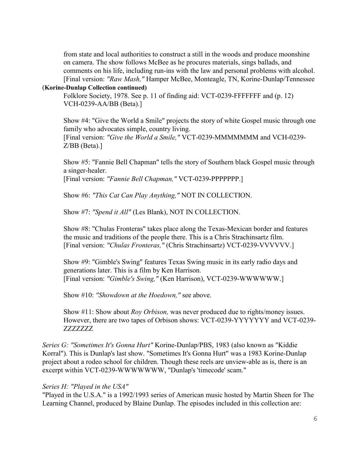from state and local authorities to construct a still in the woods and produce moonshine on camera. The show follows McBee as he procures materials, sings ballads, and comments on his life, including run-ins with the law and personal problems with alcohol. [Final version: *"Raw Mash,"* Hamper McBee, Monteagle, TN, Korine-Dunlap/Tennessee

### (**Korine-Dunlap Collection continued)**

Folklore Society, 1978. See p. 11 of finding aid: VCT-0239-FFFFFFF and (p. 12) VCH-0239-AA/BB (Beta).]

Show #4: "Give the World a Smile" projects the story of white Gospel music through one family who advocates simple, country living. [Final version: *"Give the World a Smile,"* VCT-0239-MMMMMMM and VCH-0239-

Z/BB (Beta).]

Show #5: "Fannie Bell Chapman" tells the story of Southern black Gospel music through a singer-healer.

[Final version: *"Fannie Bell Chapman,"* VCT-0239-PPPPPPP.]

Show #6: *"This Cat Can Play Anything,"* NOT IN COLLECTION.

Show #7: *"Spend it All"* (Les Blank), NOT IN COLLECTION.

Show #8: "Chulas Fronteras" takes place along the Texas-Mexican border and features the music and traditions of the people there. This is a Chris Strachinsartz film. [Final version: *"Chulas Fronteras,"* (Chris Strachinsartz) VCT-0239-VVVVVV.]

Show #9: "Gimble's Swing" features Texas Swing music in its early radio days and generations later. This is a film by Ken Harrison. [Final version: *"Gimble's Swing,"* (Ken Harrison), VCT-0239-WWWWWW.]

Show #10: *"Showdown at the Hoedown,"* see above.

Show #11: Show about *Roy Orbison,* was never produced due to rights/money issues. However, there are two tapes of Orbison shows: VCT-0239-YYYYYYY and VCT-0239- ZZZZZZZ

*Series G: "Sometimes It's Gonna Hurt"* Korine-Dunlap/PBS, 1983 (also known as "Kiddie Korral"). This is Dunlap's last show. "Sometimes It's Gonna Hurt" was a 1983 Korine-Dunlap project about a rodeo school for children. Though these reels are unview-able as is, there is an excerpt within VCT-0239-WWWWWWW, "Dunlap's 'timecode' scam."

## *Series H: "Played in the USA"*

"Played in the U.S.A." is a 1992/1993 series of American music hosted by Martin Sheen for The Learning Channel, produced by Blaine Dunlap. The episodes included in this collection are: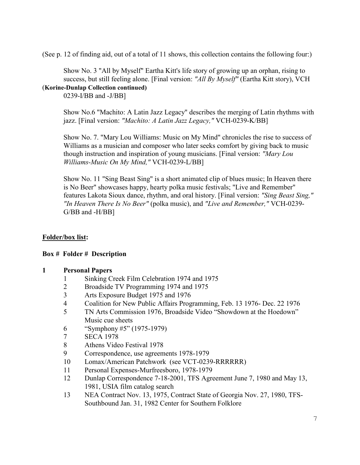(See p. 12 of finding aid, out of a total of 11 shows, this collection contains the following four:)

Show No. 3 "All by Myself" Eartha Kitt's life story of growing up an orphan, rising to success, but still feeling alone. [Final version: *"All By Myself"* (Eartha Kitt story), VCH

## (**Korine-Dunlap Collection continued)**

0239-I/BB and -J/BB]

Show No.6 "Machito: A Latin Jazz Legacy" describes the merging of Latin rhythms with jazz. [Final version: *"Machito: A Latin Jazz Legacy,"* VCH-0239-K/BB]

Show No. 7. "Mary Lou Williams: Music on My Mind" chronicles the rise to success of Williams as a musician and composer who later seeks comfort by giving back to music though instruction and inspiration of young musicians. [Final version: *"Mary Lou Williams-Music On My Mind,"* VCH-0239-L/BB]

Show No. 11 "Sing Beast Sing" is a short animated clip of blues music; In Heaven there is No Beer" showcases happy, hearty polka music festivals; "Live and Remember" features Lakota Sioux dance, rhythm, and oral history. [Final version: *"Sing Beast Sing," "In Heaven There Is No Beer"* (polka music), and *"Live and Remember,"* VCH-0239- G/BB and -H/BB]

# **Folder/box list:**

# **Box # Folder # Description**

## **1 Personal Papers**

- 1 Sinking Creek Film Celebration 1974 and 1975
- 2 Broadside TV Programming 1974 and 1975
- 3 Arts Exposure Budget 1975 and 1976
- 4 Coalition for New Public Affairs Programming, Feb. 13 1976- Dec. 22 1976
- 5 TN Arts Commission 1976, Broadside Video "Showdown at the Hoedown" Music cue sheets
- 6 "Symphony #5" (1975-1979)
- 7 SECA 1978
- 8 Athens Video Festival 1978
- 9 Correspondence, use agreements 1978-1979
- 10 Lomax/American Patchwork (see VCT-0239-RRRRRR)
- 11 Personal Expenses-Murfreesboro, 1978-1979
- 12 Dunlap Correspondence 7-18-2001, TFS Agreement June 7, 1980 and May 13, 1981, USIA film catalog search
- 13 NEA Contract Nov. 13, 1975, Contract State of Georgia Nov. 27, 1980, TFS-Southbound Jan. 31, 1982 Center for Southern Folklore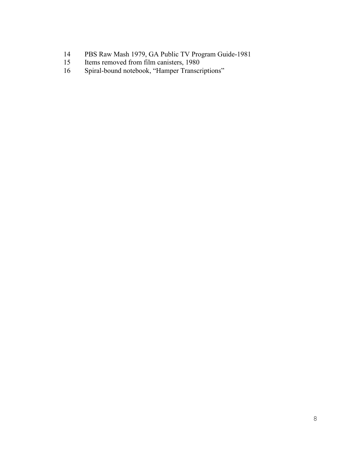- 14 PBS Raw Mash 1979, GA Public TV Program Guide-1981<br>15 Items removed from film canisters, 1980
- Items removed from film canisters, 1980
- 16 Spiral-bound notebook, "Hamper Transcriptions"